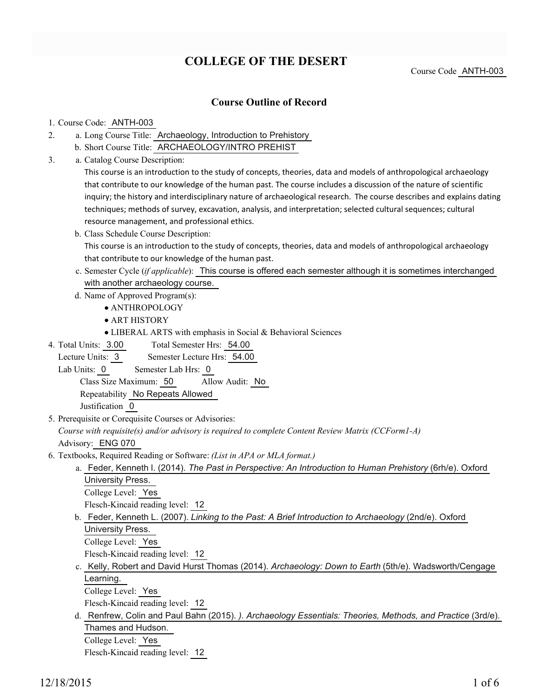# **COLLEGE OF THE DESERT**

Course Code ANTH-003

### **Course Outline of Record**

#### 1. Course Code: ANTH-003

- a. Long Course Title: Archaeology, Introduction to Prehistory 2.
	- b. Short Course Title: ARCHAEOLOGY/INTRO PREHIST
- Catalog Course Description: a. 3.

This course is an introduction to the study of concepts, theories, data and models of anthropological archaeology that contribute to our knowledge of the human past. The course includes a discussion of the nature of scientific inquiry; the history and interdisciplinary nature of archaeological research. The course describes and explains dating techniques; methods of survey, excavation, analysis, and interpretation; selected cultural sequences; cultural resource management, and professional ethics.

- b. Class Schedule Course Description: This course is an introduction to the study of concepts, theories, data and models of anthropological archaeology that contribute to our knowledge of the human past.
- c. Semester Cycle (*if applicable*): This course is offered each semester although it is sometimes interchanged with another archaeology course.
- d. Name of Approved Program(s):
	- ANTHROPOLOGY
	- ART HISTORY
	- LIBERAL ARTS with emphasis in Social & Behavioral Sciences
- Total Semester Hrs: 54.00 4. Total Units: 3.00
- Lecture Units: 3 Semester Lecture Hrs: 54.00
	- Lab Units: 0 Semester Lab Hrs: 0

Class Size Maximum: 50 Allow Audit: No

Repeatability No Repeats Allowed

Justification 0

5. Prerequisite or Corequisite Courses or Advisories:

*Course with requisite(s) and/or advisory is required to complete Content Review Matrix (CCForm1-A)*

Advisory: ENG 070

- Textbooks, Required Reading or Software: *(List in APA or MLA format.)* 6.
	- a. Feder, Kenneth I. (2014). *The Past in Perspective: An Introduction to Human Prehistory* (6rh/e). Oxford University Press. College Level: Yes

Flesch-Kincaid reading level: 12

b. Feder, Kenneth L. (2007). *Linking to the Past: A Brief Introduction to Archaeology* (2nd/e). Oxford University Press.

College Level: Yes

Flesch-Kincaid reading level: 12

c. Kelly, Robert and David Hurst Thomas (2014). *Archaeology: Down to Earth* (5th/e). Wadsworth/Cengage Learning.

College Level: Yes

Flesch-Kincaid reading level: 12

d. Renfrew, Colin and Paul Bahn (2015). *). Archaeology Essentials: Theories, Methods, and Practice* (3rd/e). Thames and Hudson. College Level: Yes

Flesch-Kincaid reading level: 12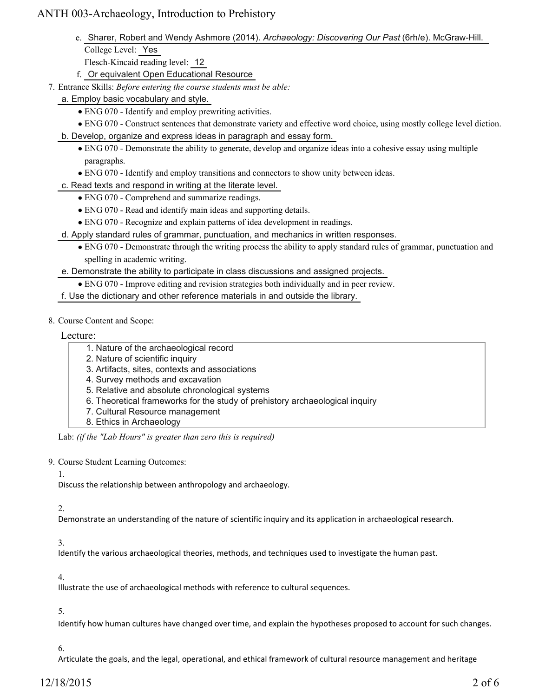e. Sharer, Robert and Wendy Ashmore (2014). *Archaeology: Discovering Our Past* (6rh/e). McGraw-Hill. College Level: Yes

Flesch-Kincaid reading level: 12

- f. Or equivalent Open Educational Resource
- Entrance Skills: *Before entering the course students must be able:* 7.
	- a. Employ basic vocabulary and style.
		- ENG 070 Identify and employ prewriting activities.
		- ENG 070 Construct sentences that demonstrate variety and effective word choice, using mostly college level diction.
	- b. Develop, organize and express ideas in paragraph and essay form.
		- ENG 070 Demonstrate the ability to generate, develop and organize ideas into a cohesive essay using multiple paragraphs.
		- ENG 070 Identify and employ transitions and connectors to show unity between ideas.
	- c. Read texts and respond in writing at the literate level.
		- ENG 070 Comprehend and summarize readings.
		- ENG 070 Read and identify main ideas and supporting details.
		- ENG 070 Recognize and explain patterns of idea development in readings.
	- d. Apply standard rules of grammar, punctuation, and mechanics in written responses.
		- ENG 070 Demonstrate through the writing process the ability to apply standard rules of grammar, punctuation and spelling in academic writing.

e. Demonstrate the ability to participate in class discussions and assigned projects.

- ENG 070 Improve editing and revision strategies both individually and in peer review.
- f. Use the dictionary and other reference materials in and outside the library.
- 8. Course Content and Scope:

Lecture:

- 1. Nature of the archaeological record
- 2. Nature of scientific inquiry
- 3. Artifacts, sites, contexts and associations
- 4. Survey methods and excavation
- 5. Relative and absolute chronological systems
- 6. Theoretical frameworks for the study of prehistory archaeological inquiry
- 7. Cultural Resource management
- 8. Ethics in Archaeology

Lab: *(if the "Lab Hours" is greater than zero this is required)*

9. Course Student Learning Outcomes:

1.

Discuss the relationship between anthropology and archaeology.

#### 2.

Demonstrate an understanding of the nature of scientific inquiry and its application in archaeological research.

#### 3.

Identify the various archaeological theories, methods, and techniques used to investigate the human past.

#### 4.

Illustrate the use of archaeological methods with reference to cultural sequences.

#### 5.

Identify how human cultures have changed over time, and explain the hypotheses proposed to account for such changes.

#### 6.

Articulate the goals, and the legal, operational, and ethical framework of cultural resource management and heritage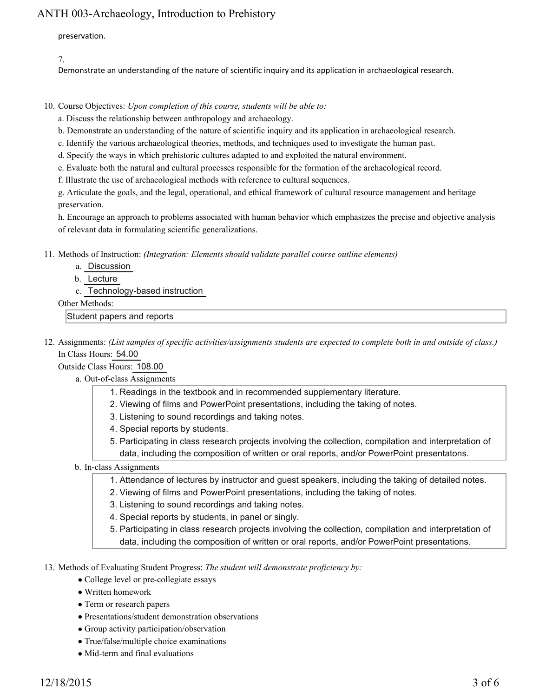preservation.

7.

Demonstrate an understanding of the nature of scientific inquiry and its application in archaeological research.

10. Course Objectives: Upon completion of this course, students will be able to:

a. Discuss the relationship between anthropology and archaeology.

- b. Demonstrate an understanding of the nature of scientific inquiry and its application in archaeological research.
- c. Identify the various archaeological theories, methods, and techniques used to investigate the human past.
- d. Specify the ways in which prehistoric cultures adapted to and exploited the natural environment.

e. Evaluate both the natural and cultural processes responsible for the formation of the archaeological record.

f. Illustrate the use of archaeological methods with reference to cultural sequences.

g. Articulate the goals, and the legal, operational, and ethical framework of cultural resource management and heritage preservation.

h. Encourage an approach to problems associated with human behavior which emphasizes the precise and objective analysis of relevant data in formulating scientific generalizations.

- 11. Methods of Instruction: *(Integration: Elements should validate parallel course outline elements)* 
	- a. Discussion
	- b. Lecture
	- c. Technology-based instruction

Other Methods:

Student papers and reports

12. Assignments: (List samples of specific activities/assignments students are expected to complete both in and outside of class.) In Class Hours: 54.00

Outside Class Hours: 108.00

- a. Out-of-class Assignments
	- 1. Readings in the textbook and in recommended supplementary literature.
	- 2. Viewing of films and PowerPoint presentations, including the taking of notes.
	- 3. Listening to sound recordings and taking notes.
	- 4. Special reports by students.
	- 5. Participating in class research projects involving the collection, compilation and interpretation of data, including the composition of written or oral reports, and/or PowerPoint presentatons.

#### b. In-class Assignments

- 1. Attendance of lectures by instructor and guest speakers, including the taking of detailed notes.
- 2. Viewing of films and PowerPoint presentations, including the taking of notes.
- 3. Listening to sound recordings and taking notes.
- 4. Special reports by students, in panel or singly.
- Participating in class research projects involving the collection, compilation and interpretation of 5. data, including the composition of written or oral reports, and/or PowerPoint presentations.
- 13. Methods of Evaluating Student Progress: The student will demonstrate proficiency by:
	- College level or pre-collegiate essays
	- Written homework
	- Term or research papers
	- Presentations/student demonstration observations
	- Group activity participation/observation
	- True/false/multiple choice examinations
	- Mid-term and final evaluations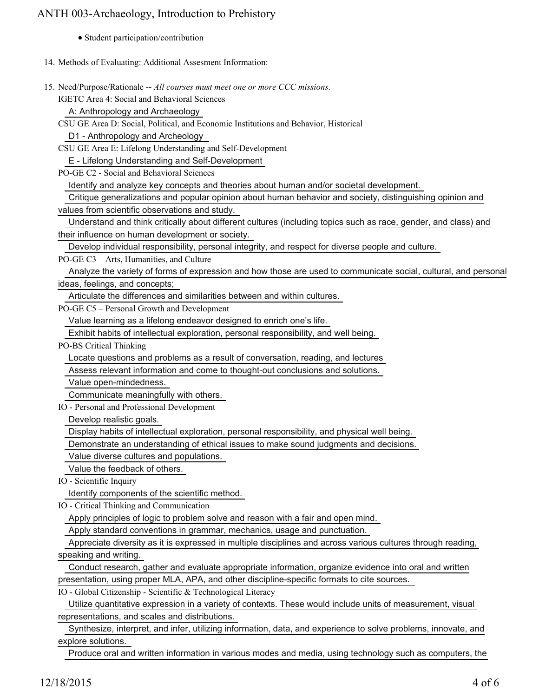- Student participation/contribution
- 14. Methods of Evaluating: Additional Assesment Information:
- 15. Need/Purpose/Rationale -- All courses must meet one or more CCC missions.

IGETC Area 4: Social and Behavioral Sciences

A: Anthropology and Archaeology

CSU GE Area D: Social, Political, and Economic Institutions and Behavior, Historical

D1 - Anthropology and Archeology

CSU GE Area E: Lifelong Understanding and Self-Development

E - Lifelong Understanding and Self-Development

PO-GE C2 - Social and Behavioral Sciences

Identify and analyze key concepts and theories about human and/or societal development.

Critique generalizations and popular opinion about human behavior and society, distinguishing opinion and

values from scientific observations and study.

 Understand and think critically about different cultures (including topics such as race, gender, and class) and their influence on human development or society.

Develop individual responsibility, personal integrity, and respect for diverse people and culture.

PO-GE C3 – Arts, Humanities, and Culture

 Analyze the variety of forms of expression and how those are used to communicate social, cultural, and personal ideas, feelings, and concepts;

Articulate the differences and similarities between and within cultures.

PO-GE C5 – Personal Growth and Development

Value learning as a lifelong endeavor designed to enrich one's life.

Exhibit habits of intellectual exploration, personal responsibility, and well being.

PO-BS Critical Thinking

Locate questions and problems as a result of conversation, reading, and lectures

Assess relevant information and come to thought-out conclusions and solutions.

Value open-mindedness.

Communicate meaningfully with others.

IO - Personal and Professional Development

Develop realistic goals.

Display habits of intellectual exploration, personal responsibility, and physical well being.

Demonstrate an understanding of ethical issues to make sound judgments and decisions.

Value diverse cultures and populations.

Value the feedback of others.

IO - Scientific Inquiry

Identify components of the scientific method.

IO - Critical Thinking and Communication

Apply principles of logic to problem solve and reason with a fair and open mind.

Apply standard conventions in grammar, mechanics, usage and punctuation.

 Appreciate diversity as it is expressed in multiple disciplines and across various cultures through reading, speaking and writing.

 Conduct research, gather and evaluate appropriate information, organize evidence into oral and written presentation, using proper MLA, APA, and other discipline-specific formats to cite sources.

IO - Global Citizenship - Scientific & Technological Literacy

 Utilize quantitative expression in a variety of contexts. These would include units of measurement, visual representations, and scales and distributions.

 Synthesize, interpret, and infer, utilizing information, data, and experience to solve problems, innovate, and explore solutions.

Produce oral and written information in various modes and media, using technology such as computers, the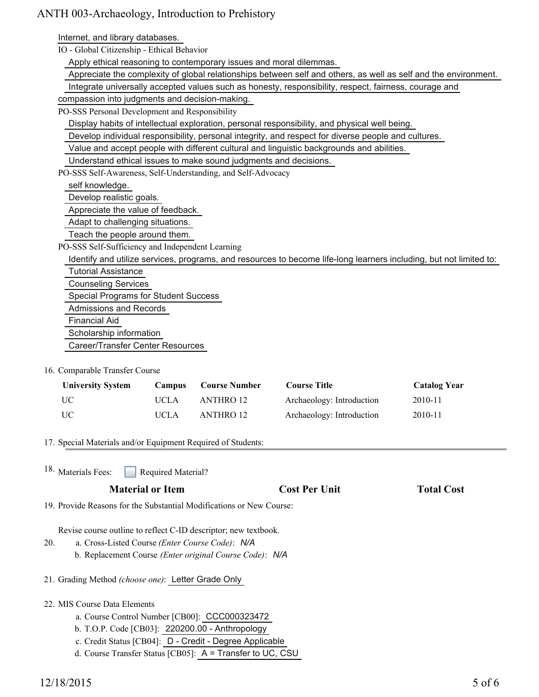Internet, and library databases.

IO - Global Citizenship - Ethical Behavior

Apply ethical reasoning to contemporary issues and moral dilemmas.

Appreciate the complexity of global relationships between self and others, as well as self and the environment.

Integrate universally accepted values such as honesty, responsibility, respect, fairness, courage and

compassion into judgments and decision-making.

PO-SSS Personal Development and Responsibility

Display habits of intellectual exploration, personal responsibility, and physical well being.

Develop individual responsibility, personal integrity, and respect for diverse people and cultures.

Value and accept people with different cultural and linguistic backgrounds and abilities.

Understand ethical issues to make sound judgments and decisions.

PO-SSS Self-Awareness, Self-Understanding, and Self-Advocacy

self knowledge.

Develop realistic goals.

Appreciate the value of feedback.

Adapt to challenging situations.

Teach the people around them.

PO-SSS Self-Sufficiency and Independent Learning

 Identify and utilize services, programs, and resources to become life-long learners including, but not limited to: Tutorial Assistance Counseling Services Special Programs for Student Success Admissions and Records Financial Aid

Scholarship information

Career/Transfer Center Resources

#### 16. Comparable Transfer Course

| <b>University System</b> | Campus | <b>Course Number</b> | <b>Course Title</b>       | <b>Catalog Year</b> |
|--------------------------|--------|----------------------|---------------------------|---------------------|
| UC                       | UCLA   | ANTHRO 12            | Archaeology: Introduction | 2010-11             |
| UC.                      | UCLA   | ANTHRO 12            | Archaeology: Introduction | 2010-11             |

17. Special Materials and/or Equipment Required of Students:

Required Material? <sup>18.</sup> Materials Fees:

| <b>Total Cost</b><br><b>Cost Per Unit</b> |
|-------------------------------------------|
|                                           |

19. Provide Reasons for the Substantial Modifications or New Course:

Revise course outline to reflect C-ID descriptor; new textbook.

- a. Cross-Listed Course *(Enter Course Code)*: *N/A* 20.
	- b. Replacement Course *(Enter original Course Code)*: *N/A*

21. Grading Method *(choose one)*: Letter Grade Only

- 22. MIS Course Data Elements
	- a. Course Control Number [CB00]: CCC000323472
	- b. T.O.P. Code [CB03]: 220200.00 Anthropology
	- c. Credit Status [CB04]: D Credit Degree Applicable
	- d. Course Transfer Status [CB05]: A = Transfer to UC, CSU